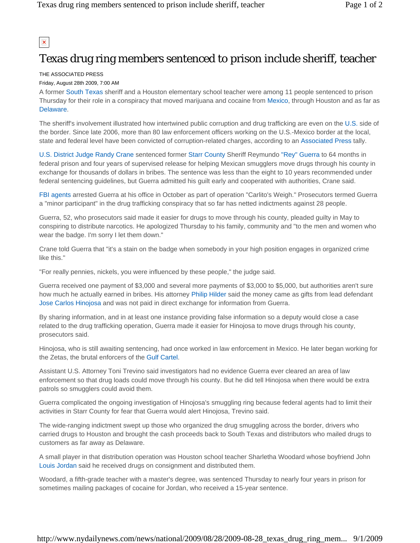$\pmb{\times}$ 

## Texas drug ring members sentenced to prison include sheriff, teacher

## THE ASSOCIATED PRESS

## Friday, August 28th 2009, 7:00 AM

A former South Texas sheriff and a Houston elementary school teacher were among 11 people sentenced to prison Thursday for their role in a conspiracy that moved marijuana and cocaine from Mexico, through Houston and as far as Delaware.

The sheriff's involvement illustrated how intertwined public corruption and drug trafficking are even on the U.S. side of the border. Since late 2006, more than 80 law enforcement officers working on the U.S.-Mexico border at the local, state and federal level have been convicted of corruption-related charges, according to an Associated Press tally.

U.S. District Judge Randy Crane sentenced former Starr County Sheriff Reymundo "Rey" Guerra to 64 months in federal prison and four years of supervised release for helping Mexican smugglers move drugs through his county in exchange for thousands of dollars in bribes. The sentence was less than the eight to 10 years recommended under federal sentencing guidelines, but Guerra admitted his guilt early and cooperated with authorities, Crane said.

FBI agents arrested Guerra at his office in October as part of operation "Carlito's Weigh." Prosecutors termed Guerra a "minor participant" in the drug trafficking conspiracy that so far has netted indictments against 28 people.

Guerra, 52, who prosecutors said made it easier for drugs to move through his county, pleaded guilty in May to conspiring to distribute narcotics. He apologized Thursday to his family, community and "to the men and women who wear the badge. I'm sorry I let them down."

Crane told Guerra that "it's a stain on the badge when somebody in your high position engages in organized crime like this."

"For really pennies, nickels, you were influenced by these people," the judge said.

Guerra received one payment of \$3,000 and several more payments of \$3,000 to \$5,000, but authorities aren't sure how much he actually earned in bribes. His attorney Philip Hilder said the money came as gifts from lead defendant Jose Carlos Hinojosa and was not paid in direct exchange for information from Guerra.

By sharing information, and in at least one instance providing false information so a deputy would close a case related to the drug trafficking operation, Guerra made it easier for Hinojosa to move drugs through his county, prosecutors said.

Hinojosa, who is still awaiting sentencing, had once worked in law enforcement in Mexico. He later began working for the Zetas, the brutal enforcers of the Gulf Cartel.

Assistant U.S. Attorney Toni Trevino said investigators had no evidence Guerra ever cleared an area of law enforcement so that drug loads could move through his county. But he did tell Hinojosa when there would be extra patrols so smugglers could avoid them.

Guerra complicated the ongoing investigation of Hinojosa's smuggling ring because federal agents had to limit their activities in Starr County for fear that Guerra would alert Hinojosa, Trevino said.

The wide-ranging indictment swept up those who organized the drug smuggling across the border, drivers who carried drugs to Houston and brought the cash proceeds back to South Texas and distributors who mailed drugs to customers as far away as Delaware.

A small player in that distribution operation was Houston school teacher Sharletha Woodard whose boyfriend John Louis Jordan said he received drugs on consignment and distributed them.

Woodard, a fifth-grade teacher with a master's degree, was sentenced Thursday to nearly four years in prison for sometimes mailing packages of cocaine for Jordan, who received a 15-year sentence.